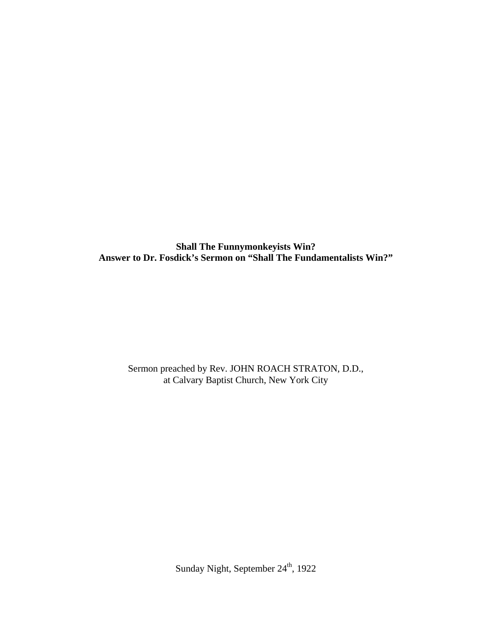**Shall The Funnymonkeyists Win? Answer to Dr. Fosdick's Sermon on "Shall The Fundamentalists Win?"** 

Sermon preached by Rev. JOHN ROACH STRATON, D.D., at Calvary Baptist Church, New York City

Sunday Night, September 24<sup>th</sup>, 1922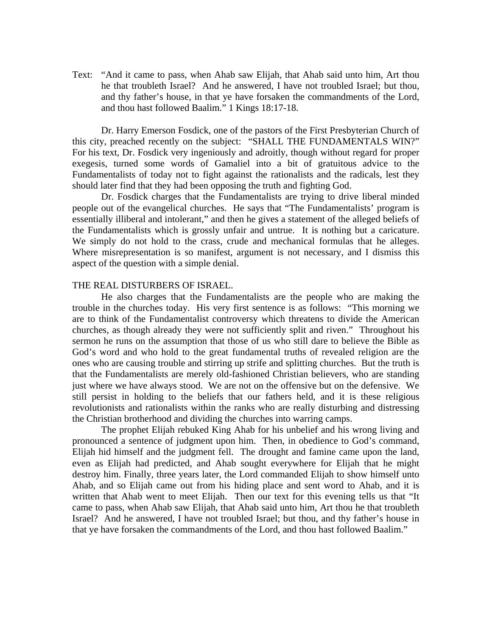Text: "And it came to pass, when Ahab saw Elijah, that Ahab said unto him, Art thou he that troubleth Israel? And he answered, I have not troubled Israel; but thou, and thy father's house, in that ye have forsaken the commandments of the Lord, and thou hast followed Baalim." 1 Kings 18:17-18.

Dr. Harry Emerson Fosdick, one of the pastors of the First Presbyterian Church of this city, preached recently on the subject: "SHALL THE FUNDAMENTALS WIN?" For his text, Dr. Fosdick very ingeniously and adroitly, though without regard for proper exegesis, turned some words of Gamaliel into a bit of gratuitous advice to the Fundamentalists of today not to fight against the rationalists and the radicals, lest they should later find that they had been opposing the truth and fighting God.

Dr. Fosdick charges that the Fundamentalists are trying to drive liberal minded people out of the evangelical churches. He says that "The Fundamentalists' program is essentially illiberal and intolerant," and then he gives a statement of the alleged beliefs of the Fundamentalists which is grossly unfair and untrue. It is nothing but a caricature. We simply do not hold to the crass, crude and mechanical formulas that he alleges. Where misrepresentation is so manifest, argument is not necessary, and I dismiss this aspect of the question with a simple denial.

#### THE REAL DISTURBERS OF ISRAEL.

 He also charges that the Fundamentalists are the people who are making the trouble in the churches today. His very first sentence is as follows: "This morning we are to think of the Fundamentalist controversy which threatens to divide the American churches, as though already they were not sufficiently split and riven." Throughout his sermon he runs on the assumption that those of us who still dare to believe the Bible as God's word and who hold to the great fundamental truths of revealed religion are the ones who are causing trouble and stirring up strife and splitting churches. But the truth is that the Fundamentalists are merely old-fashioned Christian believers, who are standing just where we have always stood. We are not on the offensive but on the defensive. We still persist in holding to the beliefs that our fathers held, and it is these religious revolutionists and rationalists within the ranks who are really disturbing and distressing the Christian brotherhood and dividing the churches into warring camps.

 The prophet Elijah rebuked King Ahab for his unbelief and his wrong living and pronounced a sentence of judgment upon him. Then, in obedience to God's command, Elijah hid himself and the judgment fell. The drought and famine came upon the land, even as Elijah had predicted, and Ahab sought everywhere for Elijah that he might destroy him. Finally, three years later, the Lord commanded Elijah to show himself unto Ahab, and so Elijah came out from his hiding place and sent word to Ahab, and it is written that Ahab went to meet Elijah. Then our text for this evening tells us that "It came to pass, when Ahab saw Elijah, that Ahab said unto him, Art thou he that troubleth Israel? And he answered, I have not troubled Israel; but thou, and thy father's house in that ye have forsaken the commandments of the Lord, and thou hast followed Baalim."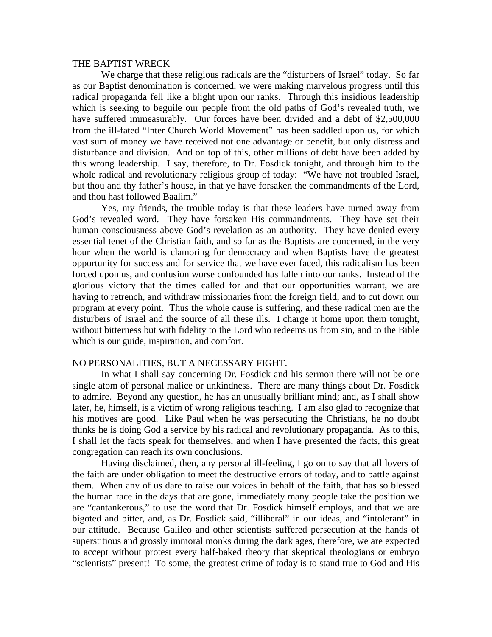### THE BAPTIST WRECK

 We charge that these religious radicals are the "disturbers of Israel" today. So far as our Baptist denomination is concerned, we were making marvelous progress until this radical propaganda fell like a blight upon our ranks. Through this insidious leadership which is seeking to beguile our people from the old paths of God's revealed truth, we have suffered immeasurably. Our forces have been divided and a debt of \$2,500,000 from the ill-fated "Inter Church World Movement" has been saddled upon us, for which vast sum of money we have received not one advantage or benefit, but only distress and disturbance and division. And on top of this, other millions of debt have been added by this wrong leadership. I say, therefore, to Dr. Fosdick tonight, and through him to the whole radical and revolutionary religious group of today: "We have not troubled Israel, but thou and thy father's house, in that ye have forsaken the commandments of the Lord, and thou hast followed Baalim."

 Yes, my friends, the trouble today is that these leaders have turned away from God's revealed word. They have forsaken His commandments. They have set their human consciousness above God's revelation as an authority. They have denied every essential tenet of the Christian faith, and so far as the Baptists are concerned, in the very hour when the world is clamoring for democracy and when Baptists have the greatest opportunity for success and for service that we have ever faced, this radicalism has been forced upon us, and confusion worse confounded has fallen into our ranks. Instead of the glorious victory that the times called for and that our opportunities warrant, we are having to retrench, and withdraw missionaries from the foreign field, and to cut down our program at every point. Thus the whole cause is suffering, and these radical men are the disturbers of Israel and the source of all these ills. I charge it home upon them tonight, without bitterness but with fidelity to the Lord who redeems us from sin, and to the Bible which is our guide, inspiration, and comfort.

### NO PERSONALITIES, BUT A NECESSARY FIGHT.

 In what I shall say concerning Dr. Fosdick and his sermon there will not be one single atom of personal malice or unkindness. There are many things about Dr. Fosdick to admire. Beyond any question, he has an unusually brilliant mind; and, as I shall show later, he, himself, is a victim of wrong religious teaching. I am also glad to recognize that his motives are good. Like Paul when he was persecuting the Christians, he no doubt thinks he is doing God a service by his radical and revolutionary propaganda. As to this, I shall let the facts speak for themselves, and when I have presented the facts, this great congregation can reach its own conclusions.

 Having disclaimed, then, any personal ill-feeling, I go on to say that all lovers of the faith are under obligation to meet the destructive errors of today, and to battle against them. When any of us dare to raise our voices in behalf of the faith, that has so blessed the human race in the days that are gone, immediately many people take the position we are "cantankerous," to use the word that Dr. Fosdick himself employs, and that we are bigoted and bitter, and, as Dr. Fosdick said, "illiberal" in our ideas, and "intolerant" in our attitude. Because Galileo and other scientists suffered persecution at the hands of superstitious and grossly immoral monks during the dark ages, therefore, we are expected to accept without protest every half-baked theory that skeptical theologians or embryo "scientists" present! To some, the greatest crime of today is to stand true to God and His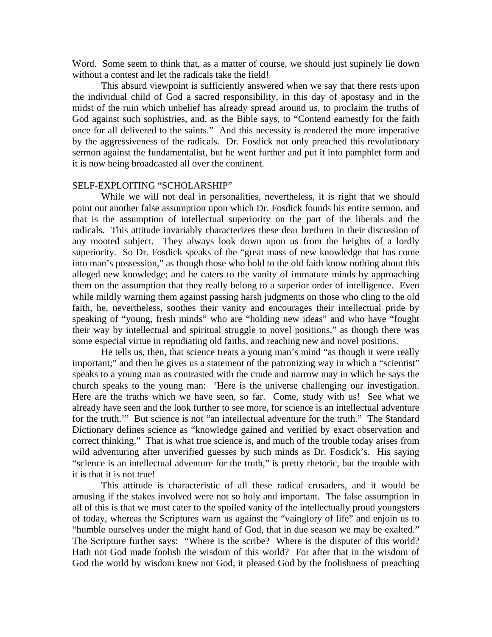Word. Some seem to think that, as a matter of course, we should just supinely lie down without a contest and let the radicals take the field!

 This absurd viewpoint is sufficiently answered when we say that there rests upon the individual child of God a sacred responsibility, in this day of apostasy and in the midst of the ruin which unbelief has already spread around us, to proclaim the truths of God against such sophistries, and, as the Bible says, to "Contend earnestly for the faith once for all delivered to the saints." And this necessity is rendered the more imperative by the aggressiveness of the radicals. Dr. Fosdick not only preached this revolutionary sermon against the fundamentalist, but he went further and put it into pamphlet form and it is now being broadcasted all over the continent.

## SELF-EXPLOITING "SCHOLARSHIP"

While we will not deal in personalities, nevertheless, it is right that we should point out another false assumption upon which Dr. Fosdick founds his entire sermon, and that is the assumption of intellectual superiority on the part of the liberals and the radicals. This attitude invariably characterizes these dear brethren in their discussion of any mooted subject. They always look down upon us from the heights of a lordly superiority. So Dr. Fosdick speaks of the "great mass of new knowledge that has come into man's possession," as though those who hold to the old faith know nothing about this alleged new knowledge; and he caters to the vanity of immature minds by approaching them on the assumption that they really belong to a superior order of intelligence. Even while mildly warning them against passing harsh judgments on those who cling to the old faith, he, nevertheless, soothes their vanity and encourages their intellectual pride by speaking of "young, fresh minds" who are "holding new ideas" and who have "fought their way by intellectual and spiritual struggle to novel positions," as though there was some especial virtue in repudiating old faiths, and reaching new and novel positions.

 He tells us, then, that science treats a young man's mind "as though it were really important;" and then he gives us a statement of the patronizing way in which a "scientist" speaks to a young man as contrasted with the crude and narrow may in which he says the church speaks to the young man: 'Here is the universe challenging our investigation. Here are the truths which we have seen, so far. Come, study with us! See what we already have seen and the look further to see more, for science is an intellectual adventure for the truth.'" But science is not "an intellectual adventure for the truth." The Standard Dictionary defines science as "knowledge gained and verified by exact observation and correct thinking." That is what true science is, and much of the trouble today arises from wild adventuring after unverified guesses by such minds as Dr. Fosdick's. His saying "science is an intellectual adventure for the truth," is pretty rhetoric, but the trouble with it is that it is not true!

 This attitude is characteristic of all these radical crusaders, and it would be amusing if the stakes involved were not so holy and important. The false assumption in all of this is that we must cater to the spoiled vanity of the intellectually proud youngsters of today, whereas the Scriptures warn us against the "vainglory of life" and enjoin us to "humble ourselves under the might hand of God, that in due season we may be exalted." The Scripture further says: "Where is the scribe? Where is the disputer of this world? Hath not God made foolish the wisdom of this world? For after that in the wisdom of God the world by wisdom knew not God, it pleased God by the foolishness of preaching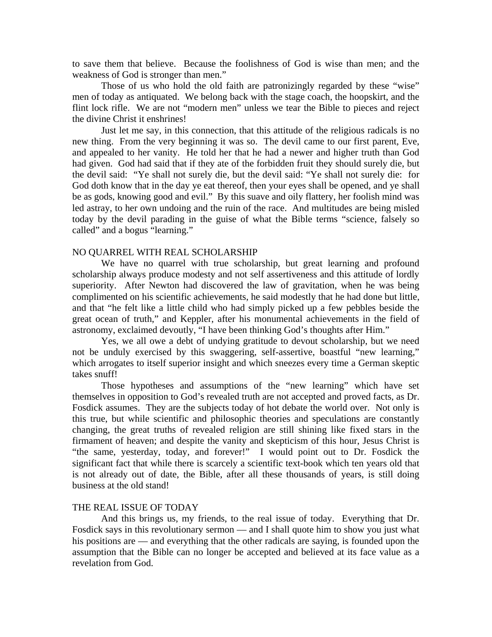to save them that believe. Because the foolishness of God is wise than men; and the weakness of God is stronger than men."

 Those of us who hold the old faith are patronizingly regarded by these "wise" men of today as antiquated. We belong back with the stage coach, the hoopskirt, and the flint lock rifle. We are not "modern men" unless we tear the Bible to pieces and reject the divine Christ it enshrines!

 Just let me say, in this connection, that this attitude of the religious radicals is no new thing. From the very beginning it was so. The devil came to our first parent, Eve, and appealed to her vanity. He told her that he had a newer and higher truth than God had given. God had said that if they ate of the forbidden fruit they should surely die, but the devil said: "Ye shall not surely die, but the devil said: "Ye shall not surely die: for God doth know that in the day ye eat thereof, then your eyes shall be opened, and ye shall be as gods, knowing good and evil." By this suave and oily flattery, her foolish mind was led astray, to her own undoing and the ruin of the race. And multitudes are being misled today by the devil parading in the guise of what the Bible terms "science, falsely so called" and a bogus "learning."

## NO QUARREL WITH REAL SCHOLARSHIP

 We have no quarrel with true scholarship, but great learning and profound scholarship always produce modesty and not self assertiveness and this attitude of lordly superiority. After Newton had discovered the law of gravitation, when he was being complimented on his scientific achievements, he said modestly that he had done but little, and that "he felt like a little child who had simply picked up a few pebbles beside the great ocean of truth," and Keppler, after his monumental achievements in the field of astronomy, exclaimed devoutly, "I have been thinking God's thoughts after Him."

 Yes, we all owe a debt of undying gratitude to devout scholarship, but we need not be unduly exercised by this swaggering, self-assertive, boastful "new learning," which arrogates to itself superior insight and which sneezes every time a German skeptic takes snuff!

 Those hypotheses and assumptions of the "new learning" which have set themselves in opposition to God's revealed truth are not accepted and proved facts, as Dr. Fosdick assumes. They are the subjects today of hot debate the world over. Not only is this true, but while scientific and philosophic theories and speculations are constantly changing, the great truths of revealed religion are still shining like fixed stars in the firmament of heaven; and despite the vanity and skepticism of this hour, Jesus Christ is "the same, yesterday, today, and forever!" I would point out to Dr. Fosdick the significant fact that while there is scarcely a scientific text-book which ten years old that is not already out of date, the Bible, after all these thousands of years, is still doing business at the old stand!

#### THE REAL ISSUE OF TODAY

 And this brings us, my friends, to the real issue of today. Everything that Dr. Fosdick says in this revolutionary sermon — and I shall quote him to show you just what his positions are — and everything that the other radicals are saying, is founded upon the assumption that the Bible can no longer be accepted and believed at its face value as a revelation from God.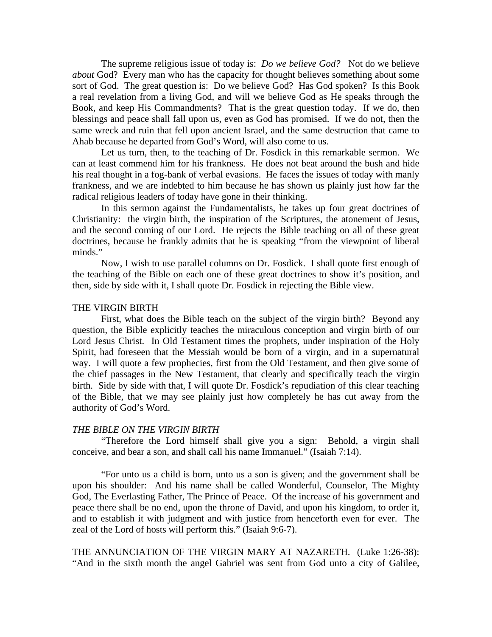The supreme religious issue of today is: *Do we believe God?* Not do we believe *about* God? Every man who has the capacity for thought believes something about some sort of God. The great question is: Do we believe God? Has God spoken? Is this Book a real revelation from a living God, and will we believe God as He speaks through the Book, and keep His Commandments? That is the great question today. If we do, then blessings and peace shall fall upon us, even as God has promised. If we do not, then the same wreck and ruin that fell upon ancient Israel, and the same destruction that came to Ahab because he departed from God's Word, will also come to us.

 Let us turn, then, to the teaching of Dr. Fosdick in this remarkable sermon. We can at least commend him for his frankness. He does not beat around the bush and hide his real thought in a fog-bank of verbal evasions. He faces the issues of today with manly frankness, and we are indebted to him because he has shown us plainly just how far the radical religious leaders of today have gone in their thinking.

 In this sermon against the Fundamentalists, he takes up four great doctrines of Christianity: the virgin birth, the inspiration of the Scriptures, the atonement of Jesus, and the second coming of our Lord. He rejects the Bible teaching on all of these great doctrines, because he frankly admits that he is speaking "from the viewpoint of liberal minds."

 Now, I wish to use parallel columns on Dr. Fosdick. I shall quote first enough of the teaching of the Bible on each one of these great doctrines to show it's position, and then, side by side with it, I shall quote Dr. Fosdick in rejecting the Bible view.

### THE VIRGIN BIRTH

 First, what does the Bible teach on the subject of the virgin birth? Beyond any question, the Bible explicitly teaches the miraculous conception and virgin birth of our Lord Jesus Christ. In Old Testament times the prophets, under inspiration of the Holy Spirit, had foreseen that the Messiah would be born of a virgin, and in a supernatural way. I will quote a few prophecies, first from the Old Testament, and then give some of the chief passages in the New Testament, that clearly and specifically teach the virgin birth. Side by side with that, I will quote Dr. Fosdick's repudiation of this clear teaching of the Bible, that we may see plainly just how completely he has cut away from the authority of God's Word.

## *THE BIBLE ON THE VIRGIN BIRTH*

 "Therefore the Lord himself shall give you a sign: Behold, a virgin shall conceive, and bear a son, and shall call his name Immanuel." (Isaiah 7:14).

 "For unto us a child is born, unto us a son is given; and the government shall be upon his shoulder: And his name shall be called Wonderful, Counselor, The Mighty God, The Everlasting Father, The Prince of Peace. Of the increase of his government and peace there shall be no end, upon the throne of David, and upon his kingdom, to order it, and to establish it with judgment and with justice from henceforth even for ever. The zeal of the Lord of hosts will perform this." (Isaiah 9:6-7).

THE ANNUNCIATION OF THE VIRGIN MARY AT NAZARETH. (Luke 1:26-38): "And in the sixth month the angel Gabriel was sent from God unto a city of Galilee,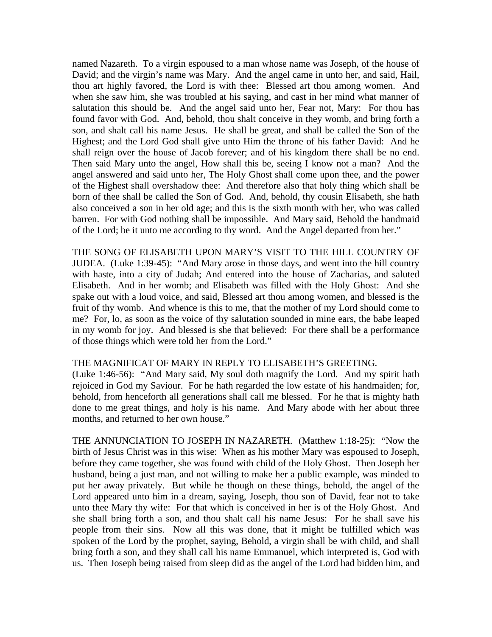named Nazareth. To a virgin espoused to a man whose name was Joseph, of the house of David; and the virgin's name was Mary. And the angel came in unto her, and said, Hail, thou art highly favored, the Lord is with thee: Blessed art thou among women. And when she saw him, she was troubled at his saying, and cast in her mind what manner of salutation this should be. And the angel said unto her, Fear not, Mary: For thou has found favor with God. And, behold, thou shalt conceive in they womb, and bring forth a son, and shalt call his name Jesus. He shall be great, and shall be called the Son of the Highest; and the Lord God shall give unto Him the throne of his father David: And he shall reign over the house of Jacob forever; and of his kingdom there shall be no end. Then said Mary unto the angel, How shall this be, seeing I know not a man? And the angel answered and said unto her, The Holy Ghost shall come upon thee, and the power of the Highest shall overshadow thee: And therefore also that holy thing which shall be born of thee shall be called the Son of God. And, behold, thy cousin Elisabeth, she hath also conceived a son in her old age; and this is the sixth month with her, who was called barren. For with God nothing shall be impossible. And Mary said, Behold the handmaid of the Lord; be it unto me according to thy word. And the Angel departed from her."

THE SONG OF ELISABETH UPON MARY'S VISIT TO THE HILL COUNTRY OF JUDEA. (Luke 1:39-45): "And Mary arose in those days, and went into the hill country with haste, into a city of Judah; And entered into the house of Zacharias, and saluted Elisabeth. And in her womb; and Elisabeth was filled with the Holy Ghost: And she spake out with a loud voice, and said, Blessed art thou among women, and blessed is the fruit of thy womb. And whence is this to me, that the mother of my Lord should come to me? For, lo, as soon as the voice of thy salutation sounded in mine ears, the babe leaped in my womb for joy. And blessed is she that believed: For there shall be a performance of those things which were told her from the Lord."

## THE MAGNIFICAT OF MARY IN REPLY TO ELISABETH'S GREETING.

(Luke 1:46-56): "And Mary said, My soul doth magnify the Lord. And my spirit hath rejoiced in God my Saviour. For he hath regarded the low estate of his handmaiden; for, behold, from henceforth all generations shall call me blessed. For he that is mighty hath done to me great things, and holy is his name. And Mary abode with her about three months, and returned to her own house."

THE ANNUNCIATION TO JOSEPH IN NAZARETH. (Matthew 1:18-25): "Now the birth of Jesus Christ was in this wise: When as his mother Mary was espoused to Joseph, before they came together, she was found with child of the Holy Ghost. Then Joseph her husband, being a just man, and not willing to make her a public example, was minded to put her away privately. But while he though on these things, behold, the angel of the Lord appeared unto him in a dream, saying, Joseph, thou son of David, fear not to take unto thee Mary thy wife: For that which is conceived in her is of the Holy Ghost. And she shall bring forth a son, and thou shalt call his name Jesus: For he shall save his people from their sins. Now all this was done, that it might be fulfilled which was spoken of the Lord by the prophet, saying, Behold, a virgin shall be with child, and shall bring forth a son, and they shall call his name Emmanuel, which interpreted is, God with us. Then Joseph being raised from sleep did as the angel of the Lord had bidden him, and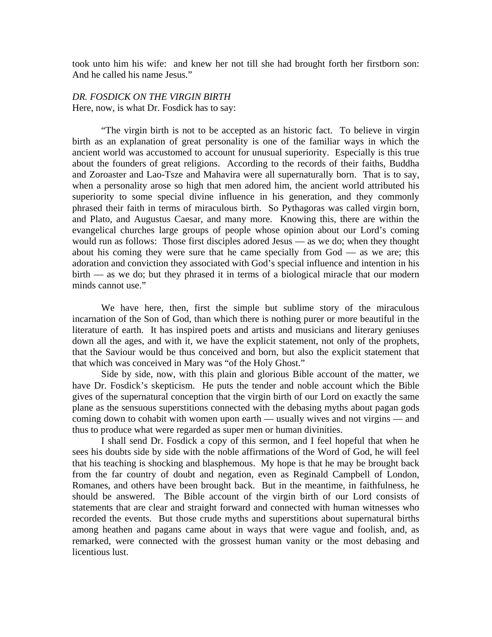took unto him his wife: and knew her not till she had brought forth her firstborn son: And he called his name Jesus."

# *DR. FOSDICK ON THE VIRGIN BIRTH*  Here, now, is what Dr. Fosdick has to say:

"The virgin birth is not to be accepted as an historic fact. To believe in virgin birth as an explanation of great personality is one of the familiar ways in which the ancient world was accustomed to account for unusual superiority. Especially is this true about the founders of great religions. According to the records of their faiths, Buddha and Zoroaster and Lao-Tsze and Mahavira were all supernaturally born. That is to say, when a personality arose so high that men adored him, the ancient world attributed his superiority to some special divine influence in his generation, and they commonly phrased their faith in terms of miraculous birth. So Pythagoras was called virgin born, and Plato, and Augustus Caesar, and many more. Knowing this, there are within the evangelical churches large groups of people whose opinion about our Lord's coming would run as follows: Those first disciples adored Jesus –– as we do; when they thought about his coming they were sure that he came specially from  $God$  — as we are; this adoration and conviction they associated with God's special influence and intention in his birth –– as we do; but they phrased it in terms of a biological miracle that our modern minds cannot use."

 We have here, then, first the simple but sublime story of the miraculous incarnation of the Son of God, than which there is nothing purer or more beautiful in the literature of earth. It has inspired poets and artists and musicians and literary geniuses down all the ages, and with it, we have the explicit statement, not only of the prophets, that the Saviour would be thus conceived and born, but also the explicit statement that that which was conceived in Mary was "of the Holy Ghost."

 Side by side, now, with this plain and glorious Bible account of the matter, we have Dr. Fosdick's skepticism. He puts the tender and noble account which the Bible gives of the supernatural conception that the virgin birth of our Lord on exactly the same plane as the sensuous superstitions connected with the debasing myths about pagan gods coming down to cohabit with women upon earth — usually wives and not virgins — and thus to produce what were regarded as super men or human divinities.

 I shall send Dr. Fosdick a copy of this sermon, and I feel hopeful that when he sees his doubts side by side with the noble affirmations of the Word of God, he will feel that his teaching is shocking and blasphemous. My hope is that he may be brought back from the far country of doubt and negation, even as Reginald Campbell of London, Romanes, and others have been brought back. But in the meantime, in faithfulness, he should be answered. The Bible account of the virgin birth of our Lord consists of statements that are clear and straight forward and connected with human witnesses who recorded the events. But those crude myths and superstitions about supernatural births among heathen and pagans came about in ways that were vague and foolish, and, as remarked, were connected with the grossest human vanity or the most debasing and licentious lust.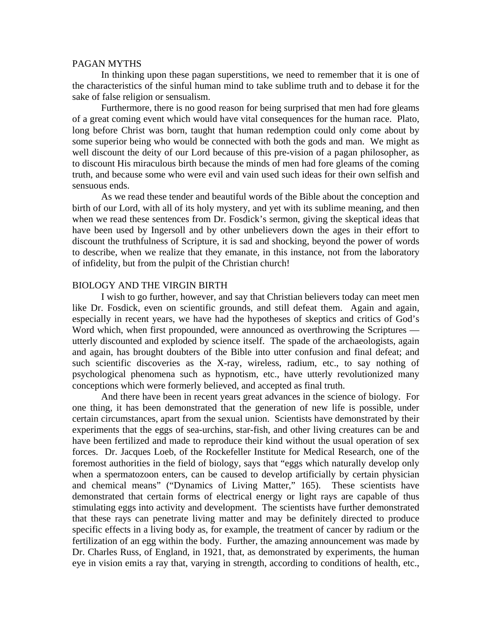## PAGAN MYTHS

 In thinking upon these pagan superstitions, we need to remember that it is one of the characteristics of the sinful human mind to take sublime truth and to debase it for the sake of false religion or sensualism.

 Furthermore, there is no good reason for being surprised that men had fore gleams of a great coming event which would have vital consequences for the human race. Plato, long before Christ was born, taught that human redemption could only come about by some superior being who would be connected with both the gods and man. We might as well discount the deity of our Lord because of this pre-vision of a pagan philosopher, as to discount His miraculous birth because the minds of men had fore gleams of the coming truth, and because some who were evil and vain used such ideas for their own selfish and sensuous ends.

 As we read these tender and beautiful words of the Bible about the conception and birth of our Lord, with all of its holy mystery, and yet with its sublime meaning, and then when we read these sentences from Dr. Fosdick's sermon, giving the skeptical ideas that have been used by Ingersoll and by other unbelievers down the ages in their effort to discount the truthfulness of Scripture, it is sad and shocking, beyond the power of words to describe, when we realize that they emanate, in this instance, not from the laboratory of infidelity, but from the pulpit of the Christian church!

### BIOLOGY AND THE VIRGIN BIRTH

 I wish to go further, however, and say that Christian believers today can meet men like Dr. Fosdick, even on scientific grounds, and still defeat them. Again and again, especially in recent years, we have had the hypotheses of skeptics and critics of God's Word which, when first propounded, were announced as overthrowing the Scriptures utterly discounted and exploded by science itself. The spade of the archaeologists, again and again, has brought doubters of the Bible into utter confusion and final defeat; and such scientific discoveries as the X-ray, wireless, radium, etc., to say nothing of psychological phenomena such as hypnotism, etc., have utterly revolutionized many conceptions which were formerly believed, and accepted as final truth.

 And there have been in recent years great advances in the science of biology. For one thing, it has been demonstrated that the generation of new life is possible, under certain circumstances, apart from the sexual union. Scientists have demonstrated by their experiments that the eggs of sea-urchins, star-fish, and other living creatures can be and have been fertilized and made to reproduce their kind without the usual operation of sex forces. Dr. Jacques Loeb, of the Rockefeller Institute for Medical Research, one of the foremost authorities in the field of biology, says that "eggs which naturally develop only when a spermatozoon enters, can be caused to develop artificially by certain physician and chemical means" ("Dynamics of Living Matter," 165). These scientists have demonstrated that certain forms of electrical energy or light rays are capable of thus stimulating eggs into activity and development. The scientists have further demonstrated that these rays can penetrate living matter and may be definitely directed to produce specific effects in a living body as, for example, the treatment of cancer by radium or the fertilization of an egg within the body. Further, the amazing announcement was made by Dr. Charles Russ, of England, in 1921, that, as demonstrated by experiments, the human eye in vision emits a ray that, varying in strength, according to conditions of health, etc.,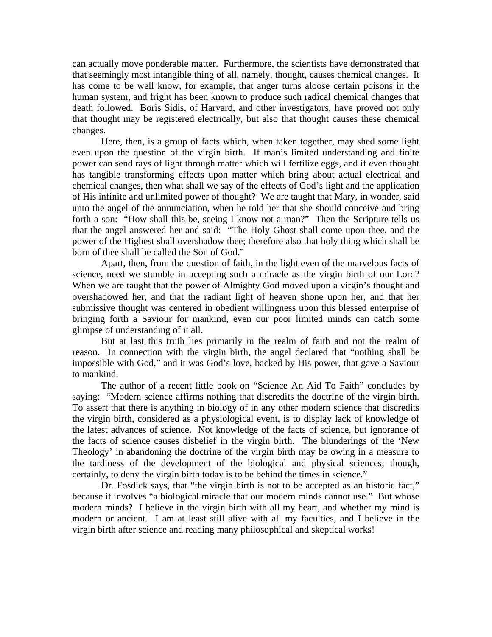can actually move ponderable matter. Furthermore, the scientists have demonstrated that that seemingly most intangible thing of all, namely, thought, causes chemical changes. It has come to be well know, for example, that anger turns aloose certain poisons in the human system, and fright has been known to produce such radical chemical changes that death followed. Boris Sidis, of Harvard, and other investigators, have proved not only that thought may be registered electrically, but also that thought causes these chemical changes.

 Here, then, is a group of facts which, when taken together, may shed some light even upon the question of the virgin birth. If man's limited understanding and finite power can send rays of light through matter which will fertilize eggs, and if even thought has tangible transforming effects upon matter which bring about actual electrical and chemical changes, then what shall we say of the effects of God's light and the application of His infinite and unlimited power of thought? We are taught that Mary, in wonder, said unto the angel of the annunciation, when he told her that she should conceive and bring forth a son: "How shall this be, seeing I know not a man?" Then the Scripture tells us that the angel answered her and said: "The Holy Ghost shall come upon thee, and the power of the Highest shall overshadow thee; therefore also that holy thing which shall be born of thee shall be called the Son of God."

 Apart, then, from the question of faith, in the light even of the marvelous facts of science, need we stumble in accepting such a miracle as the virgin birth of our Lord? When we are taught that the power of Almighty God moved upon a virgin's thought and overshadowed her, and that the radiant light of heaven shone upon her, and that her submissive thought was centered in obedient willingness upon this blessed enterprise of bringing forth a Saviour for mankind, even our poor limited minds can catch some glimpse of understanding of it all.

 But at last this truth lies primarily in the realm of faith and not the realm of reason. In connection with the virgin birth, the angel declared that "nothing shall be impossible with God," and it was God's love, backed by His power, that gave a Saviour to mankind.

 The author of a recent little book on "Science An Aid To Faith" concludes by saying: "Modern science affirms nothing that discredits the doctrine of the virgin birth. To assert that there is anything in biology of in any other modern science that discredits the virgin birth, considered as a physiological event, is to display lack of knowledge of the latest advances of science. Not knowledge of the facts of science, but ignorance of the facts of science causes disbelief in the virgin birth. The blunderings of the 'New Theology' in abandoning the doctrine of the virgin birth may be owing in a measure to the tardiness of the development of the biological and physical sciences; though, certainly, to deny the virgin birth today is to be behind the times in science."

Dr. Fosdick says, that "the virgin birth is not to be accepted as an historic fact," because it involves "a biological miracle that our modern minds cannot use." But whose modern minds? I believe in the virgin birth with all my heart, and whether my mind is modern or ancient. I am at least still alive with all my faculties, and I believe in the virgin birth after science and reading many philosophical and skeptical works!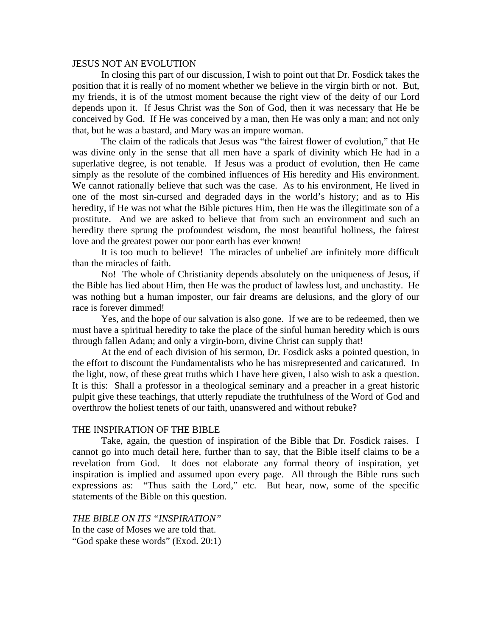### JESUS NOT AN EVOLUTION

 In closing this part of our discussion, I wish to point out that Dr. Fosdick takes the position that it is really of no moment whether we believe in the virgin birth or not. But, my friends, it is of the utmost moment because the right view of the deity of our Lord depends upon it. If Jesus Christ was the Son of God, then it was necessary that He be conceived by God. If He was conceived by a man, then He was only a man; and not only that, but he was a bastard, and Mary was an impure woman.

 The claim of the radicals that Jesus was "the fairest flower of evolution," that He was divine only in the sense that all men have a spark of divinity which He had in a superlative degree, is not tenable. If Jesus was a product of evolution, then He came simply as the resolute of the combined influences of His heredity and His environment. We cannot rationally believe that such was the case. As to his environment, He lived in one of the most sin-cursed and degraded days in the world's history; and as to His heredity, if He was not what the Bible pictures Him, then He was the illegitimate son of a prostitute. And we are asked to believe that from such an environment and such an heredity there sprung the profoundest wisdom, the most beautiful holiness, the fairest love and the greatest power our poor earth has ever known!

 It is too much to believe! The miracles of unbelief are infinitely more difficult than the miracles of faith.

 No! The whole of Christianity depends absolutely on the uniqueness of Jesus, if the Bible has lied about Him, then He was the product of lawless lust, and unchastity. He was nothing but a human imposter, our fair dreams are delusions, and the glory of our race is forever dimmed!

 Yes, and the hope of our salvation is also gone. If we are to be redeemed, then we must have a spiritual heredity to take the place of the sinful human heredity which is ours through fallen Adam; and only a virgin-born, divine Christ can supply that!

 At the end of each division of his sermon, Dr. Fosdick asks a pointed question, in the effort to discount the Fundamentalists who he has misrepresented and caricatured. In the light, now, of these great truths which I have here given, I also wish to ask a question. It is this: Shall a professor in a theological seminary and a preacher in a great historic pulpit give these teachings, that utterly repudiate the truthfulness of the Word of God and overthrow the holiest tenets of our faith, unanswered and without rebuke?

## THE INSPIRATION OF THE BIBLE

 Take, again, the question of inspiration of the Bible that Dr. Fosdick raises. I cannot go into much detail here, further than to say, that the Bible itself claims to be a revelation from God. It does not elaborate any formal theory of inspiration, yet inspiration is implied and assumed upon every page. All through the Bible runs such expressions as: "Thus saith the Lord," etc. But hear, now, some of the specific statements of the Bible on this question.

*THE BIBLE ON ITS "INSPIRATION"*  In the case of Moses we are told that. "God spake these words" (Exod. 20:1)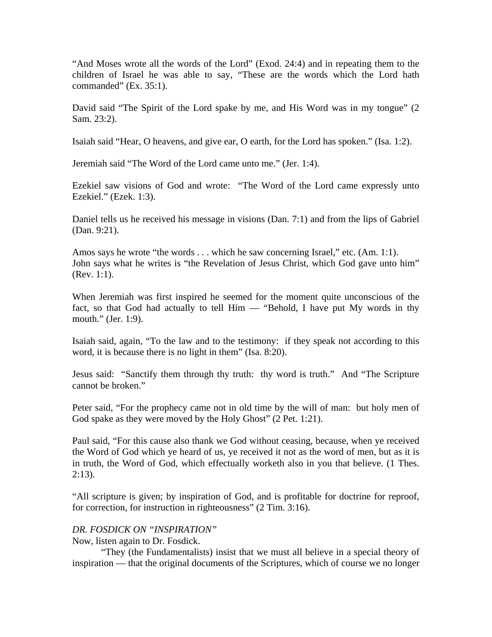"And Moses wrote all the words of the Lord" (Exod. 24:4) and in repeating them to the children of Israel he was able to say, "These are the words which the Lord hath commanded" (Ex. 35:1).

David said "The Spirit of the Lord spake by me, and His Word was in my tongue" (2) Sam. 23:2).

Isaiah said "Hear, O heavens, and give ear, O earth, for the Lord has spoken." (Isa. 1:2).

Jeremiah said "The Word of the Lord came unto me." (Jer. 1:4).

Ezekiel saw visions of God and wrote: "The Word of the Lord came expressly unto Ezekiel." (Ezek. 1:3).

Daniel tells us he received his message in visions (Dan. 7:1) and from the lips of Gabriel (Dan. 9:21).

Amos says he wrote "the words . . . which he saw concerning Israel," etc. (Am. 1:1). John says what he writes is "the Revelation of Jesus Christ, which God gave unto him" (Rev. 1:1).

When Jeremiah was first inspired he seemed for the moment quite unconscious of the fact, so that God had actually to tell  $\lim$  – "Behold, I have put My words in thy mouth." (Jer. 1:9).

Isaiah said, again, "To the law and to the testimony: if they speak not according to this word, it is because there is no light in them" (Isa. 8:20).

Jesus said: "Sanctify them through thy truth: thy word is truth." And "The Scripture cannot be broken."

Peter said, "For the prophecy came not in old time by the will of man: but holy men of God spake as they were moved by the Holy Ghost" (2 Pet. 1:21).

Paul said, "For this cause also thank we God without ceasing, because, when ye received the Word of God which ye heard of us, ye received it not as the word of men, but as it is in truth, the Word of God, which effectually worketh also in you that believe. (1 Thes.  $2:13$ ).

"All scripture is given; by inspiration of God, and is profitable for doctrine for reproof, for correction, for instruction in righteousness" (2 Tim. 3:16).

# *DR. FOSDICK ON "INSPIRATION"*

Now, listen again to Dr. Fosdick.

 "They (the Fundamentalists) insist that we must all believe in a special theory of inspiration –– that the original documents of the Scriptures, which of course we no longer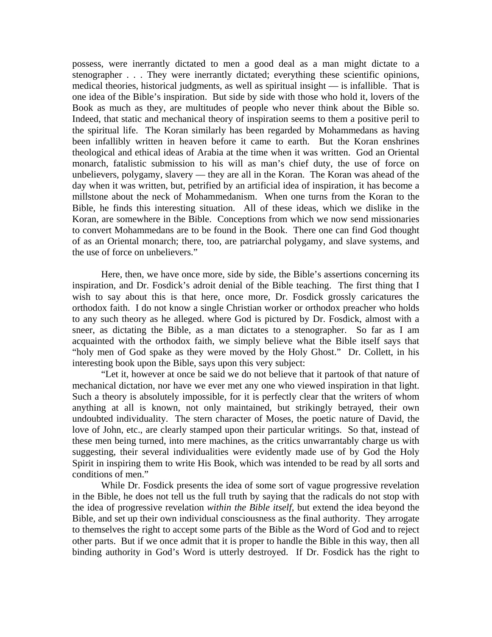possess, were inerrantly dictated to men a good deal as a man might dictate to a stenographer . . . They were inerrantly dictated; everything these scientific opinions, medical theories, historical judgments, as well as spiritual insight –– is infallible. That is one idea of the Bible's inspiration. But side by side with those who hold it, lovers of the Book as much as they, are multitudes of people who never think about the Bible so. Indeed, that static and mechanical theory of inspiration seems to them a positive peril to the spiritual life. The Koran similarly has been regarded by Mohammedans as having been infallibly written in heaven before it came to earth. But the Koran enshrines theological and ethical ideas of Arabia at the time when it was written. God an Oriental monarch, fatalistic submission to his will as man's chief duty, the use of force on unbelievers, polygamy, slavery –– they are all in the Koran. The Koran was ahead of the day when it was written, but, petrified by an artificial idea of inspiration, it has become a millstone about the neck of Mohammedanism. When one turns from the Koran to the Bible, he finds this interesting situation. All of these ideas, which we dislike in the Koran, are somewhere in the Bible. Conceptions from which we now send missionaries to convert Mohammedans are to be found in the Book. There one can find God thought of as an Oriental monarch; there, too, are patriarchal polygamy, and slave systems, and the use of force on unbelievers."

 Here, then, we have once more, side by side, the Bible's assertions concerning its inspiration, and Dr. Fosdick's adroit denial of the Bible teaching. The first thing that I wish to say about this is that here, once more, Dr. Fosdick grossly caricatures the orthodox faith. I do not know a single Christian worker or orthodox preacher who holds to any such theory as he alleged. where God is pictured by Dr. Fosdick, almost with a sneer, as dictating the Bible, as a man dictates to a stenographer. So far as I am acquainted with the orthodox faith, we simply believe what the Bible itself says that "holy men of God spake as they were moved by the Holy Ghost." Dr. Collett, in his interesting book upon the Bible, says upon this very subject:

 "Let it, however at once be said we do not believe that it partook of that nature of mechanical dictation, nor have we ever met any one who viewed inspiration in that light. Such a theory is absolutely impossible, for it is perfectly clear that the writers of whom anything at all is known, not only maintained, but strikingly betrayed, their own undoubted individuality. The stern character of Moses, the poetic nature of David, the love of John, etc., are clearly stamped upon their particular writings. So that, instead of these men being turned, into mere machines, as the critics unwarrantably charge us with suggesting, their several individualities were evidently made use of by God the Holy Spirit in inspiring them to write His Book, which was intended to be read by all sorts and conditions of men."

 While Dr. Fosdick presents the idea of some sort of vague progressive revelation in the Bible, he does not tell us the full truth by saying that the radicals do not stop with the idea of progressive revelation *within the Bible itself*, but extend the idea beyond the Bible, and set up their own individual consciousness as the final authority. They arrogate to themselves the right to accept some parts of the Bible as the Word of God and to reject other parts. But if we once admit that it is proper to handle the Bible in this way, then all binding authority in God's Word is utterly destroyed. If Dr. Fosdick has the right to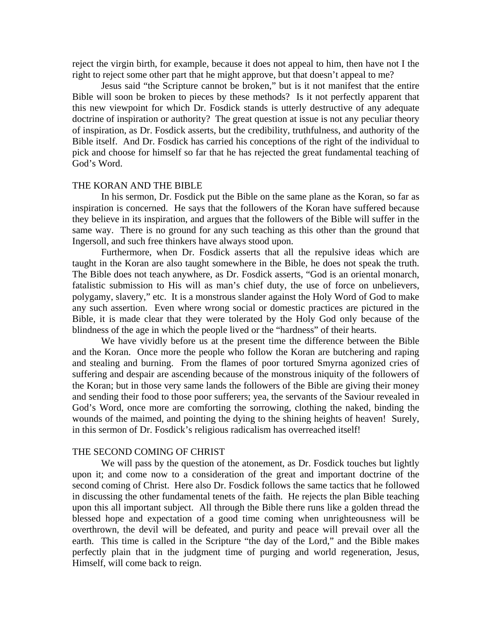reject the virgin birth, for example, because it does not appeal to him, then have not I the right to reject some other part that he might approve, but that doesn't appeal to me?

 Jesus said "the Scripture cannot be broken," but is it not manifest that the entire Bible will soon be broken to pieces by these methods? Is it not perfectly apparent that this new viewpoint for which Dr. Fosdick stands is utterly destructive of any adequate doctrine of inspiration or authority? The great question at issue is not any peculiar theory of inspiration, as Dr. Fosdick asserts, but the credibility, truthfulness, and authority of the Bible itself. And Dr. Fosdick has carried his conceptions of the right of the individual to pick and choose for himself so far that he has rejected the great fundamental teaching of God's Word.

# THE KORAN AND THE BIBLE

 In his sermon, Dr. Fosdick put the Bible on the same plane as the Koran, so far as inspiration is concerned. He says that the followers of the Koran have suffered because they believe in its inspiration, and argues that the followers of the Bible will suffer in the same way. There is no ground for any such teaching as this other than the ground that Ingersoll, and such free thinkers have always stood upon.

 Furthermore, when Dr. Fosdick asserts that all the repulsive ideas which are taught in the Koran are also taught somewhere in the Bible, he does not speak the truth. The Bible does not teach anywhere, as Dr. Fosdick asserts, "God is an oriental monarch, fatalistic submission to His will as man's chief duty, the use of force on unbelievers, polygamy, slavery," etc. It is a monstrous slander against the Holy Word of God to make any such assertion. Even where wrong social or domestic practices are pictured in the Bible, it is made clear that they were tolerated by the Holy God only because of the blindness of the age in which the people lived or the "hardness" of their hearts.

 We have vividly before us at the present time the difference between the Bible and the Koran. Once more the people who follow the Koran are butchering and raping and stealing and burning. From the flames of poor tortured Smyrna agonized cries of suffering and despair are ascending because of the monstrous iniquity of the followers of the Koran; but in those very same lands the followers of the Bible are giving their money and sending their food to those poor sufferers; yea, the servants of the Saviour revealed in God's Word, once more are comforting the sorrowing, clothing the naked, binding the wounds of the maimed, and pointing the dying to the shining heights of heaven! Surely, in this sermon of Dr. Fosdick's religious radicalism has overreached itself!

### THE SECOND COMING OF CHRIST

 We will pass by the question of the atonement, as Dr. Fosdick touches but lightly upon it; and come now to a consideration of the great and important doctrine of the second coming of Christ. Here also Dr. Fosdick follows the same tactics that he followed in discussing the other fundamental tenets of the faith. He rejects the plan Bible teaching upon this all important subject. All through the Bible there runs like a golden thread the blessed hope and expectation of a good time coming when unrighteousness will be overthrown, the devil will be defeated, and purity and peace will prevail over all the earth. This time is called in the Scripture "the day of the Lord," and the Bible makes perfectly plain that in the judgment time of purging and world regeneration, Jesus, Himself, will come back to reign.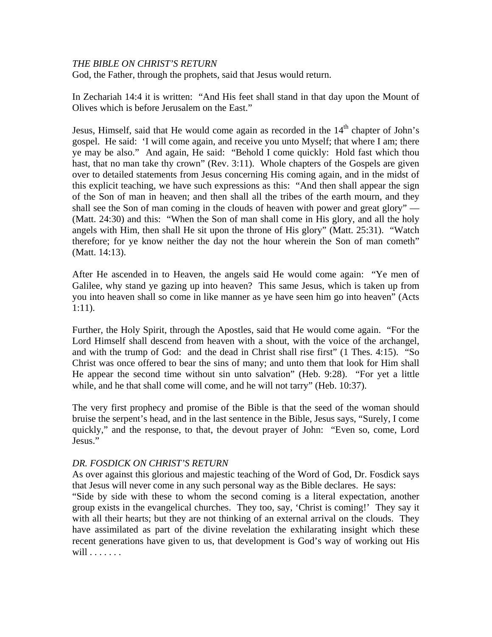# *THE BIBLE ON CHRIST'S RETURN*

God, the Father, through the prophets, said that Jesus would return.

In Zechariah 14:4 it is written: "And His feet shall stand in that day upon the Mount of Olives which is before Jerusalem on the East."

Jesus, Himself, said that He would come again as recorded in the  $14<sup>th</sup>$  chapter of John's gospel. He said: 'I will come again, and receive you unto Myself; that where I am; there ye may be also." And again, He said: "Behold I come quickly: Hold fast which thou hast, that no man take thy crown" (Rev. 3:11). Whole chapters of the Gospels are given over to detailed statements from Jesus concerning His coming again, and in the midst of this explicit teaching, we have such expressions as this: "And then shall appear the sign of the Son of man in heaven; and then shall all the tribes of the earth mourn, and they shall see the Son of man coming in the clouds of heaven with power and great glory" — (Matt. 24:30) and this: "When the Son of man shall come in His glory, and all the holy angels with Him, then shall He sit upon the throne of His glory" (Matt. 25:31). "Watch therefore; for ye know neither the day not the hour wherein the Son of man cometh" (Matt. 14:13).

After He ascended in to Heaven, the angels said He would come again: "Ye men of Galilee, why stand ye gazing up into heaven? This same Jesus, which is taken up from you into heaven shall so come in like manner as ye have seen him go into heaven" (Acts 1:11).

Further, the Holy Spirit, through the Apostles, said that He would come again. "For the Lord Himself shall descend from heaven with a shout, with the voice of the archangel, and with the trump of God: and the dead in Christ shall rise first" (1 Thes. 4:15). "So Christ was once offered to bear the sins of many; and unto them that look for Him shall He appear the second time without sin unto salvation" (Heb. 9:28). "For yet a little while, and he that shall come will come, and he will not tarry" (Heb. 10:37).

The very first prophecy and promise of the Bible is that the seed of the woman should bruise the serpent's head, and in the last sentence in the Bible, Jesus says, "Surely, I come quickly," and the response, to that, the devout prayer of John: "Even so, come, Lord Jesus."

# *DR. FOSDICK ON CHRIST'S RETURN*

As over against this glorious and majestic teaching of the Word of God, Dr. Fosdick says that Jesus will never come in any such personal way as the Bible declares. He says:

"Side by side with these to whom the second coming is a literal expectation, another group exists in the evangelical churches. They too, say, 'Christ is coming!' They say it with all their hearts; but they are not thinking of an external arrival on the clouds. They have assimilated as part of the divine revelation the exhilarating insight which these recent generations have given to us, that development is God's way of working out His will . . . . . . .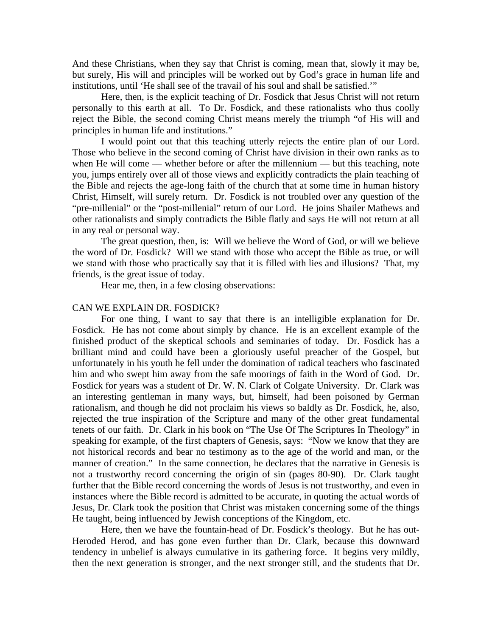And these Christians, when they say that Christ is coming, mean that, slowly it may be, but surely, His will and principles will be worked out by God's grace in human life and institutions, until 'He shall see of the travail of his soul and shall be satisfied.'"

 Here, then, is the explicit teaching of Dr. Fosdick that Jesus Christ will not return personally to this earth at all. To Dr. Fosdick, and these rationalists who thus coolly reject the Bible, the second coming Christ means merely the triumph "of His will and principles in human life and institutions."

 I would point out that this teaching utterly rejects the entire plan of our Lord. Those who believe in the second coming of Christ have division in their own ranks as to when He will come — whether before or after the millennium — but this teaching, note you, jumps entirely over all of those views and explicitly contradicts the plain teaching of the Bible and rejects the age-long faith of the church that at some time in human history Christ, Himself, will surely return. Dr. Fosdick is not troubled over any question of the "pre-millenial" or the "post-millenial" return of our Lord. He joins Shailer Mathews and other rationalists and simply contradicts the Bible flatly and says He will not return at all in any real or personal way.

 The great question, then, is: Will we believe the Word of God, or will we believe the word of Dr. Fosdick? Will we stand with those who accept the Bible as true, or will we stand with those who practically say that it is filled with lies and illusions? That, my friends, is the great issue of today.

Hear me, then, in a few closing observations:

### CAN WE EXPLAIN DR. FOSDICK?

 For one thing, I want to say that there is an intelligible explanation for Dr. Fosdick. He has not come about simply by chance. He is an excellent example of the finished product of the skeptical schools and seminaries of today. Dr. Fosdick has a brilliant mind and could have been a gloriously useful preacher of the Gospel, but unfortunately in his youth he fell under the domination of radical teachers who fascinated him and who swept him away from the safe moorings of faith in the Word of God. Dr. Fosdick for years was a student of Dr. W. N. Clark of Colgate University. Dr. Clark was an interesting gentleman in many ways, but, himself, had been poisoned by German rationalism, and though he did not proclaim his views so baldly as Dr. Fosdick, he, also, rejected the true inspiration of the Scripture and many of the other great fundamental tenets of our faith. Dr. Clark in his book on "The Use Of The Scriptures In Theology" in speaking for example, of the first chapters of Genesis, says: "Now we know that they are not historical records and bear no testimony as to the age of the world and man, or the manner of creation." In the same connection, he declares that the narrative in Genesis is not a trustworthy record concerning the origin of sin (pages 80-90). Dr. Clark taught further that the Bible record concerning the words of Jesus is not trustworthy, and even in instances where the Bible record is admitted to be accurate, in quoting the actual words of Jesus, Dr. Clark took the position that Christ was mistaken concerning some of the things He taught, being influenced by Jewish conceptions of the Kingdom, etc.

 Here, then we have the fountain-head of Dr. Fosdick's theology. But he has out-Heroded Herod, and has gone even further than Dr. Clark, because this downward tendency in unbelief is always cumulative in its gathering force. It begins very mildly, then the next generation is stronger, and the next stronger still, and the students that Dr.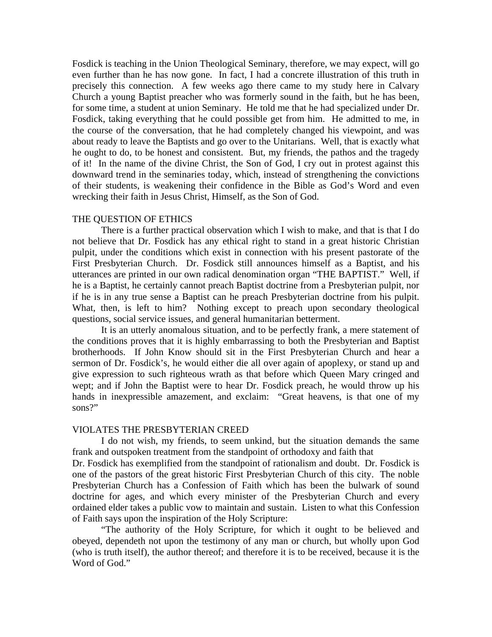Fosdick is teaching in the Union Theological Seminary, therefore, we may expect, will go even further than he has now gone. In fact, I had a concrete illustration of this truth in precisely this connection. A few weeks ago there came to my study here in Calvary Church a young Baptist preacher who was formerly sound in the faith, but he has been, for some time, a student at union Seminary. He told me that he had specialized under Dr. Fosdick, taking everything that he could possible get from him. He admitted to me, in the course of the conversation, that he had completely changed his viewpoint, and was about ready to leave the Baptists and go over to the Unitarians. Well, that is exactly what he ought to do, to be honest and consistent. But, my friends, the pathos and the tragedy of it! In the name of the divine Christ, the Son of God, I cry out in protest against this downward trend in the seminaries today, which, instead of strengthening the convictions of their students, is weakening their confidence in the Bible as God's Word and even wrecking their faith in Jesus Christ, Himself, as the Son of God.

### THE QUESTION OF ETHICS

 There is a further practical observation which I wish to make, and that is that I do not believe that Dr. Fosdick has any ethical right to stand in a great historic Christian pulpit, under the conditions which exist in connection with his present pastorate of the First Presbyterian Church. Dr. Fosdick still announces himself as a Baptist, and his utterances are printed in our own radical denomination organ "THE BAPTIST." Well, if he is a Baptist, he certainly cannot preach Baptist doctrine from a Presbyterian pulpit, nor if he is in any true sense a Baptist can he preach Presbyterian doctrine from his pulpit. What, then, is left to him? Nothing except to preach upon secondary theological questions, social service issues, and general humanitarian betterment.

 It is an utterly anomalous situation, and to be perfectly frank, a mere statement of the conditions proves that it is highly embarrassing to both the Presbyterian and Baptist brotherhoods. If John Know should sit in the First Presbyterian Church and hear a sermon of Dr. Fosdick's, he would either die all over again of apoplexy, or stand up and give expression to such righteous wrath as that before which Queen Mary cringed and wept; and if John the Baptist were to hear Dr. Fosdick preach, he would throw up his hands in inexpressible amazement, and exclaim: "Great heavens, is that one of my sons?"

#### VIOLATES THE PRESBYTERIAN CREED

 I do not wish, my friends, to seem unkind, but the situation demands the same frank and outspoken treatment from the standpoint of orthodoxy and faith that

Dr. Fosdick has exemplified from the standpoint of rationalism and doubt. Dr. Fosdick is one of the pastors of the great historic First Presbyterian Church of this city. The noble Presbyterian Church has a Confession of Faith which has been the bulwark of sound doctrine for ages, and which every minister of the Presbyterian Church and every ordained elder takes a public vow to maintain and sustain. Listen to what this Confession of Faith says upon the inspiration of the Holy Scripture:

 "The authority of the Holy Scripture, for which it ought to be believed and obeyed, dependeth not upon the testimony of any man or church, but wholly upon God (who is truth itself), the author thereof; and therefore it is to be received, because it is the Word of God."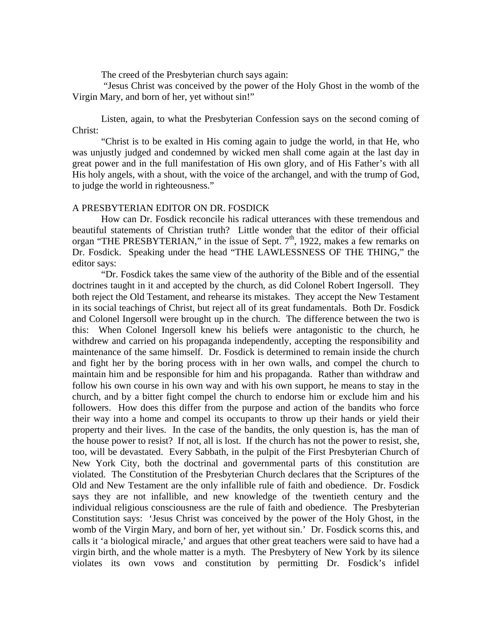The creed of the Presbyterian church says again:

 "Jesus Christ was conceived by the power of the Holy Ghost in the womb of the Virgin Mary, and born of her, yet without sin!"

Listen, again, to what the Presbyterian Confession says on the second coming of Christ:

"Christ is to be exalted in His coming again to judge the world, in that He, who was unjustly judged and condemned by wicked men shall come again at the last day in great power and in the full manifestation of His own glory, and of His Father's with all His holy angels, with a shout, with the voice of the archangel, and with the trump of God, to judge the world in righteousness."

## A PRESBYTERIAN EDITOR ON DR. FOSDICK

 How can Dr. Fosdick reconcile his radical utterances with these tremendous and beautiful statements of Christian truth? Little wonder that the editor of their official organ "THE PRESBYTERIAN," in the issue of Sept.  $7<sup>th</sup>$ , 1922, makes a few remarks on Dr. Fosdick. Speaking under the head "THE LAWLESSNESS OF THE THING," the editor says:

 "Dr. Fosdick takes the same view of the authority of the Bible and of the essential doctrines taught in it and accepted by the church, as did Colonel Robert Ingersoll. They both reject the Old Testament, and rehearse its mistakes. They accept the New Testament in its social teachings of Christ, but reject all of its great fundamentals. Both Dr. Fosdick and Colonel Ingersoll were brought up in the church. The difference between the two is this: When Colonel Ingersoll knew his beliefs were antagonistic to the church, he withdrew and carried on his propaganda independently, accepting the responsibility and maintenance of the same himself. Dr. Fosdick is determined to remain inside the church and fight her by the boring process with in her own walls, and compel the church to maintain him and be responsible for him and his propaganda. Rather than withdraw and follow his own course in his own way and with his own support, he means to stay in the church, and by a bitter fight compel the church to endorse him or exclude him and his followers. How does this differ from the purpose and action of the bandits who force their way into a home and compel its occupants to throw up their hands or yield their property and their lives. In the case of the bandits, the only question is, has the man of the house power to resist? If not, all is lost. If the church has not the power to resist, she, too, will be devastated. Every Sabbath, in the pulpit of the First Presbyterian Church of New York City, both the doctrinal and governmental parts of this constitution are violated. The Constitution of the Presbyterian Church declares that the Scriptures of the Old and New Testament are the only infallible rule of faith and obedience. Dr. Fosdick says they are not infallible, and new knowledge of the twentieth century and the individual religious consciousness are the rule of faith and obedience. The Presbyterian Constitution says: 'Jesus Christ was conceived by the power of the Holy Ghost, in the womb of the Virgin Mary, and born of her, yet without sin.' Dr. Fosdick scorns this, and calls it 'a biological miracle,' and argues that other great teachers were said to have had a virgin birth, and the whole matter is a myth. The Presbytery of New York by its silence violates its own vows and constitution by permitting Dr. Fosdick's infidel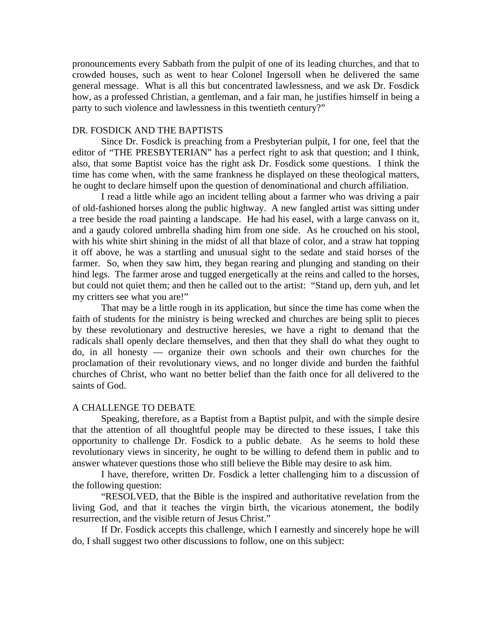pronouncements every Sabbath from the pulpit of one of its leading churches, and that to crowded houses, such as went to hear Colonel Ingersoll when he delivered the same general message. What is all this but concentrated lawlessness, and we ask Dr. Fosdick how, as a professed Christian, a gentleman, and a fair man, he justifies himself in being a party to such violence and lawlessness in this twentieth century?"

### DR. FOSDICK AND THE BAPTISTS

 Since Dr. Fosdick is preaching from a Presbyterian pulpit, I for one, feel that the editor of "THE PRESBYTERIAN" has a perfect right to ask that question; and I think, also, that some Baptist voice has the right ask Dr. Fosdick some questions. I think the time has come when, with the same frankness he displayed on these theological matters, he ought to declare himself upon the question of denominational and church affiliation.

 I read a little while ago an incident telling about a farmer who was driving a pair of old-fashioned horses along the public highway. A new fangled artist was sitting under a tree beside the road painting a landscape. He had his easel, with a large canvass on it, and a gaudy colored umbrella shading him from one side. As he crouched on his stool, with his white shirt shining in the midst of all that blaze of color, and a straw hat topping it off above, he was a startling and unusual sight to the sedate and staid horses of the farmer. So, when they saw him, they began rearing and plunging and standing on their hind legs. The farmer arose and tugged energetically at the reins and called to the horses, but could not quiet them; and then he called out to the artist: "Stand up, dern yuh, and let my critters see what you are!"

 That may be a little rough in its application, but since the time has come when the faith of students for the ministry is being wrecked and churches are being split to pieces by these revolutionary and destructive heresies, we have a right to demand that the radicals shall openly declare themselves, and then that they shall do what they ought to do, in all honesty –– organize their own schools and their own churches for the proclamation of their revolutionary views, and no longer divide and burden the faithful churches of Christ, who want no better belief than the faith once for all delivered to the saints of God.

### A CHALLENGE TO DEBATE

 Speaking, therefore, as a Baptist from a Baptist pulpit, and with the simple desire that the attention of all thoughtful people may be directed to these issues, I take this opportunity to challenge Dr. Fosdick to a public debate. As he seems to hold these revolutionary views in sincerity, he ought to be willing to defend them in public and to answer whatever questions those who still believe the Bible may desire to ask him.

 I have, therefore, written Dr. Fosdick a letter challenging him to a discussion of the following question:

 "RESOLVED, that the Bible is the inspired and authoritative revelation from the living God, and that it teaches the virgin birth, the vicarious atonement, the bodily resurrection, and the visible return of Jesus Christ."

 If Dr. Fosdick accepts this challenge, which I earnestly and sincerely hope he will do, I shall suggest two other discussions to follow, one on this subject: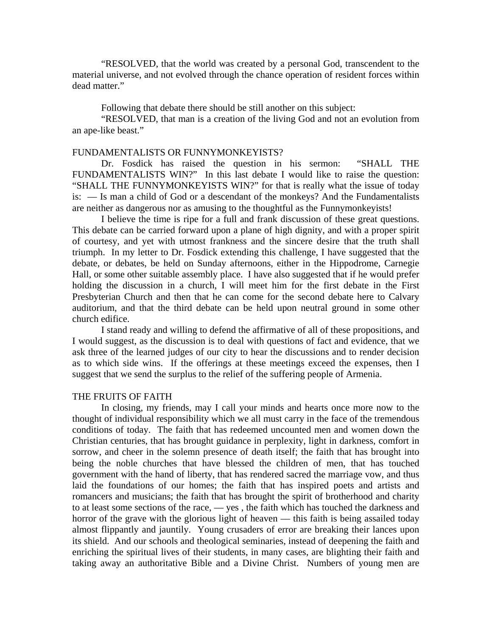"RESOLVED, that the world was created by a personal God, transcendent to the material universe, and not evolved through the chance operation of resident forces within dead matter."

Following that debate there should be still another on this subject:

 "RESOLVED, that man is a creation of the living God and not an evolution from an ape-like beast."

### FUNDAMENTALISTS OR FUNNYMONKEYISTS?

 Dr. Fosdick has raised the question in his sermon: "SHALL THE FUNDAMENTALISTS WIN?" In this last debate I would like to raise the question: "SHALL THE FUNNYMONKEYISTS WIN?" for that is really what the issue of today is: –– Is man a child of God or a descendant of the monkeys? And the Fundamentalists are neither as dangerous nor as amusing to the thoughtful as the Funnymonkeyists!

 I believe the time is ripe for a full and frank discussion of these great questions. This debate can be carried forward upon a plane of high dignity, and with a proper spirit of courtesy, and yet with utmost frankness and the sincere desire that the truth shall triumph. In my letter to Dr. Fosdick extending this challenge, I have suggested that the debate, or debates, be held on Sunday afternoons, either in the Hippodrome, Carnegie Hall, or some other suitable assembly place. I have also suggested that if he would prefer holding the discussion in a church, I will meet him for the first debate in the First Presbyterian Church and then that he can come for the second debate here to Calvary auditorium, and that the third debate can be held upon neutral ground in some other church edifice.

 I stand ready and willing to defend the affirmative of all of these propositions, and I would suggest, as the discussion is to deal with questions of fact and evidence, that we ask three of the learned judges of our city to hear the discussions and to render decision as to which side wins. If the offerings at these meetings exceed the expenses, then I suggest that we send the surplus to the relief of the suffering people of Armenia.

# THE FRUITS OF FAITH

 In closing, my friends, may I call your minds and hearts once more now to the thought of individual responsibility which we all must carry in the face of the tremendous conditions of today. The faith that has redeemed uncounted men and women down the Christian centuries, that has brought guidance in perplexity, light in darkness, comfort in sorrow, and cheer in the solemn presence of death itself; the faith that has brought into being the noble churches that have blessed the children of men, that has touched government with the hand of liberty, that has rendered sacred the marriage vow, and thus laid the foundations of our homes; the faith that has inspired poets and artists and romancers and musicians; the faith that has brought the spirit of brotherhood and charity to at least some sections of the race,  $\frac{1}{1}$  yes, the faith which has touched the darkness and horror of the grave with the glorious light of heaven — this faith is being assailed today almost flippantly and jauntily. Young crusaders of error are breaking their lances upon its shield. And our schools and theological seminaries, instead of deepening the faith and enriching the spiritual lives of their students, in many cases, are blighting their faith and taking away an authoritative Bible and a Divine Christ. Numbers of young men are